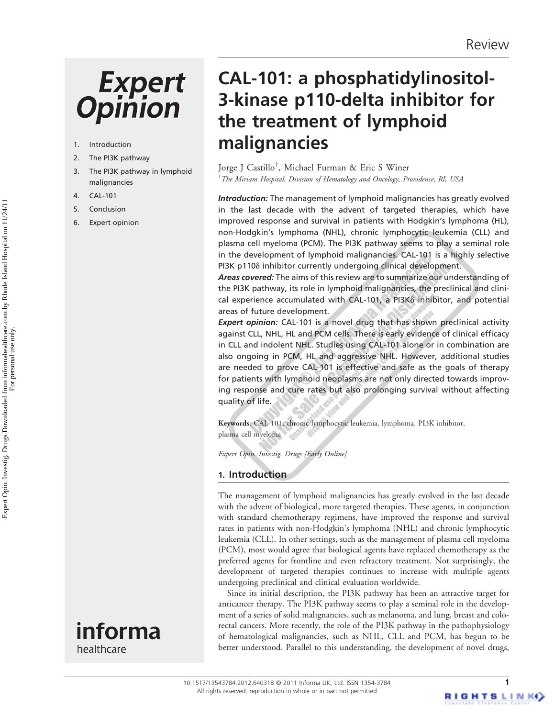# **Expert Opinion**

- 1. Introduction
- 2. The PI3K pathway
- 3. The PI3K pathway in lymphoid malignancies
- 4. CAL-101
- 5. Conclusion
- 6. Expert opinion





CAL-101: a phosphatidylinositol-3-kinase p110-delta inhibitor for the treatment of lymphoid malignancies

Jorge J Castillo† , Michael Furman & Eric S Winer  $^\dagger$ The Miriam Hospital, Division of Hematology and Oncology, Providence, RI, USA

Introduction: The management of lymphoid malignancies has greatly evolved in the last decade with the advent of targeted therapies, which have improved response and survival in patients with Hodgkin's lymphoma (HL), non-Hodgkin's lymphoma (NHL), chronic lymphocytic leukemia (CLL) and plasma cell myeloma (PCM). The PI3K pathway seems to play a seminal role in the development of lymphoid malignancies. CAL-101 is a highly selective PI3K p110 $\delta$  inhibitor currently undergoing clinical development.

Areas covered: The aims of this review are to summarize our understanding of the PI3K pathway, its role in lymphoid malignancies, the preclinical and clinical experience accumulated with CAL-101, a PI3K $\delta$  inhibitor, and potential areas of future development.

Expert opinion: CAL-101 is a novel drug that has shown preclinical activity against CLL, NHL, HL and PCM cells. There is early evidence of clinical efficacy in CLL and indolent NHL. Studies using CAL-101 alone or in combination are also ongoing in PCM, HL and aggressive NHL. However, additional studies are needed to prove CAL-101 is effective and safe as the goals of therapy for patients with lymphoid neoplasms are not only directed towards improving response and cure rates but also prolonging survival without affecting quality of life.

Keywords: CAL-101, chronic lymphocytic leukemia, lymphoma, PI3K inhibitor, plasma cell myeloma

Expert Opin. Investig. Drugs [Early Online]

# 1. Introduction

The management of lymphoid malignancies has greatly evolved in the last decade with the advent of biological, more targeted therapies. These agents, in conjunction with standard chemotherapy regimens, have improved the response and survival rates in patients with non-Hodgkin's lymphoma (NHL) and chronic lymphocytic leukemia (CLL). In other settings, such as the management of plasma cell myeloma (PCM), most would agree that biological agents have replaced chemotherapy as the preferred agents for frontline and even refractory treatment. Not surprisingly, the development of targeted therapies continues to increase with multiple agents undergoing preclinical and clinical evaluation worldwide.

Since its initial description, the PI3K pathway has been an attractive target for anticancer therapy. The PI3K pathway seems to play a seminal role in the development of a series of solid malignancies, such as melanoma, and lung, breast and colorectal cancers. More recently, the role of the PI3K pathway in the pathophysiology of hematological malignancies, such as NHL, CLL and PCM, has begun to be better understood. Parallel to this understanding, the development of novel drugs,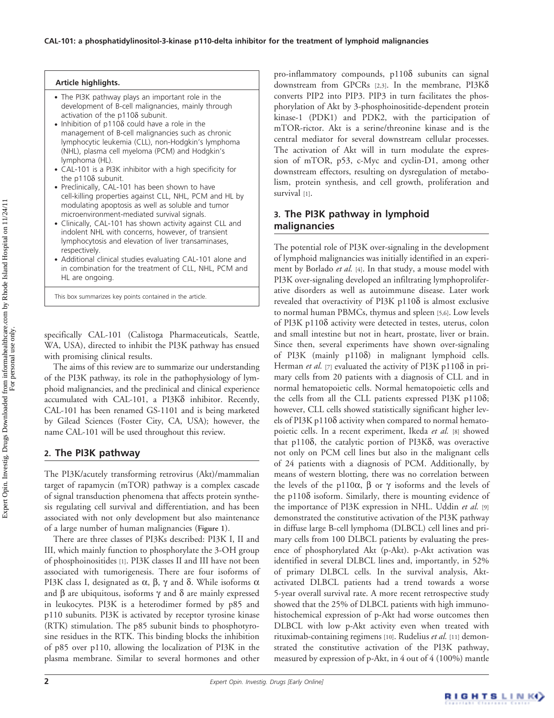#### Article highlights. . The PI3K pathway plays an important role in the development of B-cell malignancies, mainly through activation of the  $p110\delta$  subunit.  $\bullet$  Inhibition of p110 $\delta$  could have a role in the management of B-cell malignancies such as chronic lymphocytic leukemia (CLL), non-Hodgkin's lymphoma (NHL), plasma cell myeloma (PCM) and Hodgkin's lymphoma (HL). . CAL-101 is a PI3K inhibitor with a high specificity for the  $p110\delta$  subunit. . Preclinically, CAL-101 has been shown to have cell-killing properties against CLL, NHL, PCM and HL by modulating apoptosis as well as soluble and tumor

- microenvironment-mediated survival signals. . Clinically, CAL-101 has shown activity against CLL and indolent NHL with concerns, however, of transient lymphocytosis and elevation of liver transaminases, respectively.
- . Additional clinical studies evaluating CAL-101 alone and in combination for the treatment of CLL, NHL, PCM and HL are ongoing.

This box summarizes key points contained in the article.

specifically CAL-101 (Calistoga Pharmaceuticals, Seattle, WA, USA), directed to inhibit the PI3K pathway has ensued with promising clinical results.

The aims of this review are to summarize our understanding of the PI3K pathway, its role in the pathophysiology of lymphoid malignancies, and the preclinical and clinical experience accumulated with CAL-101, a PI3K $\delta$  inhibitor. Recently, CAL-101 has been renamed GS-1101 and is being marketed by Gilead Sciences (Foster City, CA, USA); however, the name CAL-101 will be used throughout this review.

# 2. The PI3K pathway

The PI3K/acutely transforming retrovirus (Akt)/mammalian target of rapamycin (mTOR) pathway is a complex cascade of signal transduction phenomena that affects protein synthesis regulating cell survival and differentiation, and has been associated with not only development but also maintenance of a large number of human malignancies (Figure 1).

There are three classes of PI3Ks described: PI3K I, II and III, which mainly function to phosphorylate the 3-OH group of phosphoinositides [1]. PI3K classes II and III have not been associated with tumorigenesis. There are four isoforms of PI3K class I, designated as  $\alpha$ ,  $\beta$ ,  $\gamma$  and  $\delta$ . While isoforms  $\alpha$ and  $\beta$  are ubiquitous, isoforms  $\gamma$  and  $\delta$  are mainly expressed in leukocytes. PI3K is a heterodimer formed by p85 and p110 subunits. PI3K is activated by receptor tyrosine kinase (RTK) stimulation. The p85 subunit binds to phosphotyrosine residues in the RTK. This binding blocks the inhibition of p85 over p110, allowing the localization of PI3K in the plasma membrane. Similar to several hormones and other

pro-inflammatory compounds, p1108 subunits can signal downstream from GPCRs [2,3]. In the membrane, PI3Kd converts PIP2 into PIP3. PIP3 in turn facilitates the phosphorylation of Akt by 3-phosphoinositide-dependent protein kinase-1 (PDK1) and PDK2, with the participation of mTOR-rictor. Akt is a serine/threonine kinase and is the central mediator for several downstream cellular processes. The activation of Akt will in turn modulate the expression of mTOR, p53, c-Myc and cyclin-D1, among other downstream effectors, resulting on dysregulation of metabolism, protein synthesis, and cell growth, proliferation and survival [1].

# 3. The PI3K pathway in lymphoid malignancies

The potential role of PI3K over-signaling in the development of lymphoid malignancies was initially identified in an experiment by Borlado et al. [4]. In that study, a mouse model with PI3K over-signaling developed an infiltrating lymphoproliferative disorders as well as autoimmune disease. Later work revealed that overactivity of PI3K p110 $\delta$  is almost exclusive to normal human PBMCs, thymus and spleen [5,6]. Low levels of PI3K p110 $\delta$  activity were detected in testes, uterus, colon and small intestine but not in heart, prostate, liver or brain. Since then, several experiments have shown over-signaling of PI3K (mainly p1108) in malignant lymphoid cells. Herman et al. [7] evaluated the activity of PI3K p110 $\delta$  in primary cells from 20 patients with a diagnosis of CLL and in normal hematopoietic cells. Normal hematopoietic cells and the cells from all the CLL patients expressed PI3K  $p110\delta$ ; however, CLL cells showed statistically significant higher levels of PI3K p110 $\delta$  activity when compared to normal hematopoietic cells. In a recent experiment, Ikeda et al. [8] showed that  $p110\delta$ , the catalytic portion of PI3K $\delta$ , was overactive not only on PCM cell lines but also in the malignant cells of 24 patients with a diagnosis of PCM. Additionally, by means of western blotting, there was no correlation between the levels of the p110 $\alpha$ ,  $\beta$  or  $\gamma$  isoforms and the levels of the  $p110\delta$  isoform. Similarly, there is mounting evidence of the importance of PI3K expression in NHL. Uddin et al. [9] demonstrated the constitutive activation of the PI3K pathway in diffuse large B-cell lymphoma (DLBCL) cell lines and primary cells from 100 DLBCL patients by evaluating the presence of phosphorylated Akt (p-Akt). p-Akt activation was identified in several DLBCL lines and, importantly, in 52% of primary DLBCL cells. In the survival analysis, Aktactivated DLBCL patients had a trend towards a worse 5-year overall survival rate. A more recent retrospective study showed that the 25% of DLBCL patients with high immunohistochemical expression of p-Akt had worse outcomes then DLBCL with low p-Akt activity even when treated with rituximab-containing regimens [10]. Rudelius et al. [11] demonstrated the constitutive activation of the PI3K pathway, measured by expression of p-Akt, in 4 out of 4 (100%) mantle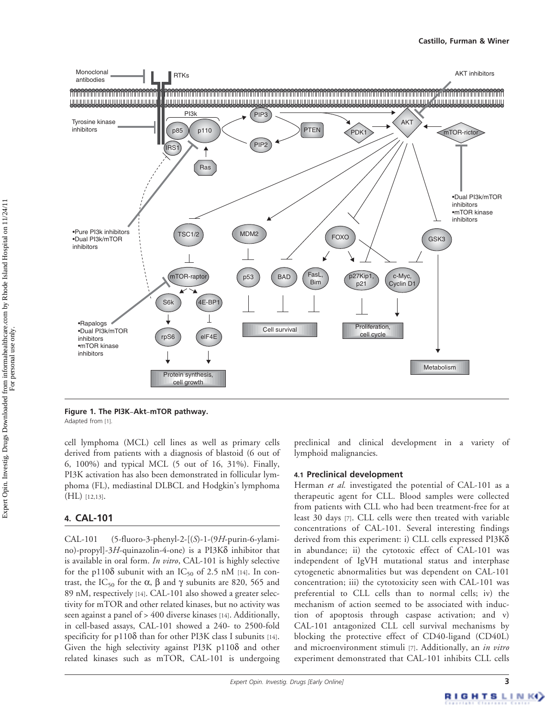

Figure 1. The PI3K-Akt-mTOR pathway.

Adapted from [1].

cell lymphoma (MCL) cell lines as well as primary cells derived from patients with a diagnosis of blastoid (6 out of 6, 100%) and typical MCL (5 out of 16, 31%). Finally, PI3K activation has also been demonstrated in follicular lymphoma (FL), mediastinal DLBCL and Hodgkin's lymphoma (HL) [12,13].

# 4. CAL-101

CAL-101 (5-fluoro-3-phenyl-2-[(S)-1-(9H-purin-6-ylamino)-propyl]-3H-quinazolin-4-one) is a PI3K $\delta$  inhibitor that is available in oral form. In vitro, CAL-101 is highly selective for the p110 $\delta$  subunit with an IC<sub>50</sub> of 2.5 nM [14]. In contrast, the IC<sub>50</sub> for the  $\alpha$ ,  $\beta$  and  $\gamma$  subunits are 820, 565 and 89 nM, respectively [14]. CAL-101 also showed a greater selectivity for mTOR and other related kinases, but no activity was seen against a panel of > 400 diverse kinases [14]. Additionally, in cell-based assays, CAL-101 showed a 240- to 2500-fold specificity for p110 $\delta$  than for other PI3K class I subunits [14]. Given the high selectivity against  $PI3K$  p $110\delta$  and other related kinases such as mTOR, CAL-101 is undergoing preclinical and clinical development in a variety of lymphoid malignancies.

## 4.1 Preclinical development

Herman *et al.* investigated the potential of CAL-101 as a therapeutic agent for CLL. Blood samples were collected from patients with CLL who had been treatment-free for at least 30 days [7]. CLL cells were then treated with variable concentrations of CAL-101. Several interesting findings derived from this experiment: i) CLL cells expressed PI3Kd in abundance; ii) the cytotoxic effect of CAL-101 was independent of IgVH mutational status and interphase cytogenetic abnormalities but was dependent on CAL-101 concentration; iii) the cytotoxicity seen with CAL-101 was preferential to CLL cells than to normal cells; iv) the mechanism of action seemed to be associated with induction of apoptosis through caspase activation; and v) CAL-101 antagonized CLL cell survival mechanisms by blocking the protective effect of CD40-ligand (CD40L) and microenvironment stimuli [7]. Additionally, an in vitro experiment demonstrated that CAL-101 inhibits CLL cells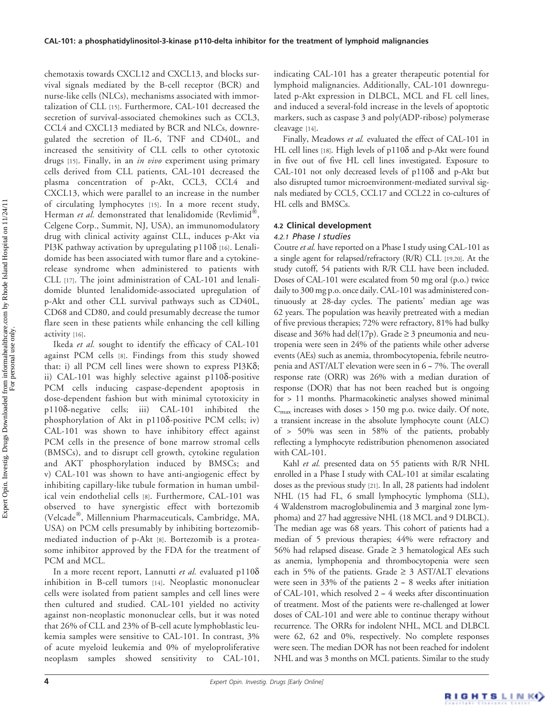chemotaxis towards CXCL12 and CXCL13, and blocks survival signals mediated by the B-cell receptor (BCR) and nurse-like cells (NLCs), mechanisms associated with immortalization of CLL [15]. Furthermore, CAL-101 decreased the secretion of survival-associated chemokines such as CCL3, CCL4 and CXCL13 mediated by BCR and NLCs, downregulated the secretion of IL-6, TNF and CD40L, and increased the sensitivity of CLL cells to other cytotoxic drugs [15]. Finally, in an in vivo experiment using primary cells derived from CLL patients, CAL-101 decreased the plasma concentration of p-Akt, CCL3, CCL4 and CXCL13, which were parallel to an increase in the number of circulating lymphocytes [15]. In a more recent study, Herman et al. demonstrated that lenalidomide (Revlimid<sup>®</sup> , Celgene Corp., Summit, NJ, USA), an immunomodulatory drug with clinical activity against CLL, induces p-Akt via PI3K pathway activation by upregulating p1108 [16]. Lenalidomide has been associated with tumor flare and a cytokinerelease syndrome when administered to patients with CLL [17]. The joint administration of CAL-101 and lenalidomide blunted lenalidomide-associated upregulation of p-Akt and other CLL survival pathways such as CD40L, CD68 and CD80, and could presumably decrease the tumor flare seen in these patients while enhancing the cell killing activity [16].

Ikeda et al. sought to identify the efficacy of CAL-101 against PCM cells [8]. Findings from this study showed that: i) all PCM cell lines were shown to express PI3K $\delta$ ; ii) CAL-101 was highly selective against p1108-positive PCM cells inducing caspase-dependent apoptosis in dose-dependent fashion but with minimal cytotoxicity in p110d-negative cells; iii) CAL-101 inhibited the phosphorylation of Akt in  $p110\delta$ -positive PCM cells; iv) CAL-101 was shown to have inhibitory effect against PCM cells in the presence of bone marrow stromal cells (BMSCs), and to disrupt cell growth, cytokine regulation and AKT phosphorylation induced by BMSCs; and v) CAL-101 was shown to have anti-angiogenic effect by inhibiting capillary-like tubule formation in human umbilical vein endothelial cells [8]. Furthermore, CAL-101 was observed to have synergistic effect with bortezomib (Velcade®, Millennium Pharmaceuticals, Cambridge, MA, USA) on PCM cells presumably by inhibiting bortezomibmediated induction of p-Akt [8]. Bortezomib is a proteasome inhibitor approved by the FDA for the treatment of PCM and MCL.

In a more recent report, Lannutti et al. evaluated  $p110\delta$ inhibition in B-cell tumors [14]. Neoplastic mononuclear cells were isolated from patient samples and cell lines were then cultured and studied. CAL-101 yielded no activity against non-neoplastic mononuclear cells, but it was noted that 26% of CLL and 23% of B-cell acute lymphoblastic leukemia samples were sensitive to CAL-101. In contrast, 3% of acute myeloid leukemia and 0% of myeloproliferative neoplasm samples showed sensitivity to CAL-101, indicating CAL-101 has a greater therapeutic potential for lymphoid malignancies. Additionally, CAL-101 downregulated p-Akt expression in DLBCL, MCL and FL cell lines, and induced a several-fold increase in the levels of apoptotic markers, such as caspase 3 and poly(ADP-ribose) polymerase cleavage [14].

Finally, Meadows et al. evaluated the effect of CAL-101 in HL cell lines [18]. High levels of  $p110\delta$  and p-Akt were found in five out of five HL cell lines investigated. Exposure to CAL-101 not only decreased levels of  $p110\delta$  and  $p-Akt$  but also disrupted tumor microenvironment-mediated survival signals mediated by CCL5, CCL17 and CCL22 in co-cultures of HL cells and BMSCs.

# 4.2 Clinical development

# 4.2.1 Phase I studies

Coutre et al. have reported on a Phase I study using CAL-101 as a single agent for relapsed/refractory (R/R) CLL [19,20]. At the study cutoff, 54 patients with R/R CLL have been included. Doses of CAL-101 were escalated from 50 mg oral (p.o.) twice daily to 300 mg p.o. once daily. CAL-101 was administered continuously at 28-day cycles. The patients' median age was 62 years. The population was heavily pretreated with a median of five previous therapies; 72% were refractory, 81% had bulky disease and 36% had del(17p). Grade  $\geq$  3 pneumonia and neutropenia were seen in 24% of the patients while other adverse events (AEs) such as anemia, thrombocytopenia, febrile neutropenia and  $AST/ALT$  elevation were seen in  $6-7\%$ . The overall response rate (ORR) was 26% with a median duration of response (DOR) that has not been reached but is ongoing for > 11 months. Pharmacokinetic analyses showed minimal  $C_{\text{max}}$  increases with doses > 150 mg p.o. twice daily. Of note, a transient increase in the absolute lymphocyte count (ALC) of > 50% was seen in 58% of the patients, probably reflecting a lymphocyte redistribution phenomenon associated with CAL-101.

Kahl et al. presented data on 55 patients with R/R NHL enrolled in a Phase I study with CAL-101 at similar escalating doses as the previous study [21]. In all, 28 patients had indolent NHL (15 had FL, 6 small lymphocytic lymphoma (SLL), 4 Waldenstrom macroglobulinemia and 3 marginal zone lymphoma) and 27 had aggressive NHL (18 MCL and 9 DLBCL). The median age was 68 years. This cohort of patients had a median of 5 previous therapies; 44% were refractory and 56% had relapsed disease. Grade  $\geq$  3 hematological AEs such as anemia, lymphopenia and thrombocytopenia were seen each in 5% of the patients. Grade  $\geq 3$  AST/ALT elevations were seen in  $33\%$  of the patients  $2 - 8$  weeks after initiation of CAL-101, which resolved  $2 - 4$  weeks after discontinuation of treatment. Most of the patients were re-challenged at lower doses of CAL-101 and were able to continue therapy without recurrence. The ORRs for indolent NHL, MCL and DLBCL were 62, 62 and 0%, respectively. No complete responses were seen. The median DOR has not been reached for indolent NHL and was 3 months on MCL patients. Similar to the study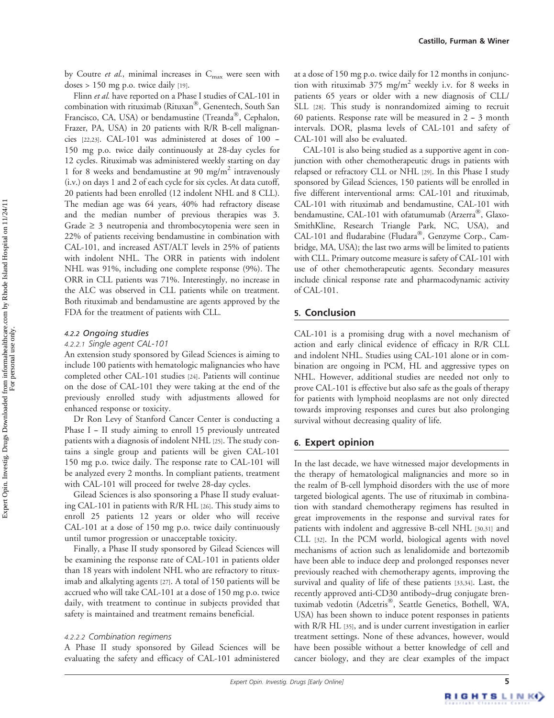by Coutre et al., minimal increases in  $C_{\text{max}}$  were seen with doses  $> 150$  mg p.o. twice daily [19].

Flinn et al. have reported on a Phase I studies of CAL-101 in combination with rituximab (Rituxan®, Genentech, South San Francisco, CA, USA) or bendamustine (Treanda®, Cephalon, Frazer, PA, USA) in 20 patients with R/R B-cell malignancies  $[22,23]$ . CAL-101 was administered at doses of 100 --150 mg p.o. twice daily continuously at 28-day cycles for 12 cycles. Rituximab was administered weekly starting on day 1 for 8 weeks and bendamustine at 90 mg/m<sup>2</sup> intravenously (i.v.) on days 1 and 2 of each cycle for six cycles. At data cutoff, 20 patients had been enrolled (12 indolent NHL and 8 CLL). The median age was 64 years, 40% had refractory disease and the median number of previous therapies was 3. Grade  $\geq 3$  neutropenia and thrombocytopenia were seen in 22% of patients receiving bendamustine in combination with CAL-101, and increased AST/ALT levels in 25% of patients with indolent NHL. The ORR in patients with indolent NHL was 91%, including one complete response (9%). The ORR in CLL patients was 71%. Interestingly, no increase in the ALC was observed in CLL patients while on treatment. Both rituximab and bendamustine are agents approved by the FDA for the treatment of patients with CLL.

#### 4.2.2 Ongoing studies

An extension study sponsored by Gilead Sciences is aiming to include 100 patients with hematologic malignancies who have completed other CAL-101 studies [24]. Patients will continue on the dose of CAL-101 they were taking at the end of the previously enrolled study with adjustments allowed for enhanced response or toxicity.

Dr Ron Levy of Stanford Cancer Center is conducting a Phase  $I - II$  study aiming to enroll 15 previously untreated patients with a diagnosis of indolent NHL [25]. The study contains a single group and patients will be given CAL-101 150 mg p.o. twice daily. The response rate to CAL-101 will be analyzed every 2 months. In compliant patients, treatment with CAL-101 will proceed for twelve 28-day cycles.

Gilead Sciences is also sponsoring a Phase II study evaluating CAL-101 in patients with R/R HL [26]. This study aims to enroll 25 patients 12 years or older who will receive CAL-101 at a dose of 150 mg p.o. twice daily continuously until tumor progression or unacceptable toxicity.

Finally, a Phase II study sponsored by Gilead Sciences will be examining the response rate of CAL-101 in patients older than 18 years with indolent NHL who are refractory to rituximab and alkalyting agents [27]. A total of 150 patients will be accrued who will take CAL-101 at a dose of 150 mg p.o. twice daily, with treatment to continue in subjects provided that safety is maintained and treatment remains beneficial.

A Phase II study sponsored by Gilead Sciences will be evaluating the safety and efficacy of CAL-101 administered at a dose of 150 mg p.o. twice daily for 12 months in conjunction with rituximab  $375 \text{ mg/m}^2$  weekly i.v. for 8 weeks in patients 65 years or older with a new diagnosis of CLL/ SLL [28]. This study is nonrandomized aiming to recruit 60 patients. Response rate will be measured in  $2 - 3$  month intervals. DOR, plasma levels of CAL-101 and safety of CAL-101 will also be evaluated.

CAL-101 is also being studied as a supportive agent in conjunction with other chemotherapeutic drugs in patients with relapsed or refractory CLL or NHL [29]. In this Phase I study sponsored by Gilead Sciences, 150 patients will be enrolled in five different interventional arms: CAL-101 and rituximab, CAL-101 with rituximab and bendamustine, CAL-101 with bendamustine, CAL-101 with ofatumumab (Arzerra®, Glaxo-SmithKline, Research Triangle Park, NC, USA), and CAL-101 and fludarabine (Fludara®, Genzyme Corp., Cambridge, MA, USA); the last two arms will be limited to patients with CLL. Primary outcome measure is safety of CAL-101 with use of other chemotherapeutic agents. Secondary measures include clinical response rate and pharmacodynamic activity of CAL-101.

#### 5. Conclusion

CAL-101 is a promising drug with a novel mechanism of action and early clinical evidence of efficacy in R/R CLL and indolent NHL. Studies using CAL-101 alone or in combination are ongoing in PCM, HL and aggressive types on NHL. However, additional studies are needed not only to prove CAL-101 is effective but also safe as the goals of therapy for patients with lymphoid neoplasms are not only directed towards improving responses and cures but also prolonging survival without decreasing quality of life.

#### 6. Expert opinion

In the last decade, we have witnessed major developments in the therapy of hematological malignancies and more so in the realm of B-cell lymphoid disorders with the use of more targeted biological agents. The use of rituximab in combination with standard chemotherapy regimens has resulted in great improvements in the response and survival rates for patients with indolent and aggressive B-cell NHL [30,31] and CLL [32]. In the PCM world, biological agents with novel mechanisms of action such as lenalidomide and bortezomib have been able to induce deep and prolonged responses never previously reached with chemotherapy agents, improving the survival and quality of life of these patients [33,34]. Last, the recently approved anti-CD30 antibody-drug conjugate brentuximab vedotin (Adcetris®, Seattle Genetics, Bothell, WA, USA) has been shown to induce potent responses in patients with R/R HL [35], and is under current investigation in earlier treatment settings. None of these advances, however, would have been possible without a better knowledge of cell and cancer biology, and they are clear examples of the impact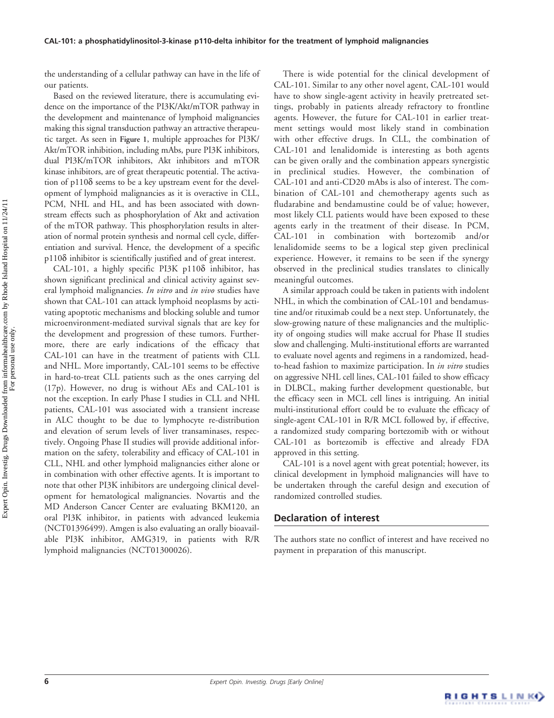the understanding of a cellular pathway can have in the life of our patients.

Based on the reviewed literature, there is accumulating evidence on the importance of the PI3K/Akt/mTOR pathway in the development and maintenance of lymphoid malignancies making this signal transduction pathway an attractive therapeutic target. As seen in Figure 1, multiple approaches for PI3K/ Akt/mTOR inhibition, including mAbs, pure PI3K inhibitors, dual PI3K/mTOR inhibitors, Akt inhibitors and mTOR kinase inhibitors, are of great therapeutic potential. The activation of p110 $\delta$  seems to be a key upstream event for the development of lymphoid malignancies as it is overactive in CLL, PCM, NHL and HL, and has been associated with downstream effects such as phosphorylation of Akt and activation of the mTOR pathway. This phosphorylation results in alteration of normal protein synthesis and normal cell cycle, differentiation and survival. Hence, the development of a specific p110d inhibitor is scientifically justified and of great interest.

CAL-101, a highly specific PI3K p110 $\delta$  inhibitor, has shown significant preclinical and clinical activity against several lymphoid malignancies. In vitro and in vivo studies have shown that CAL-101 can attack lymphoid neoplasms by activating apoptotic mechanisms and blocking soluble and tumor microenvironment-mediated survival signals that are key for the development and progression of these tumors. Furthermore, there are early indications of the efficacy that CAL-101 can have in the treatment of patients with CLL and NHL. More importantly, CAL-101 seems to be effective in hard-to-treat CLL patients such as the ones carrying del (17p). However, no drug is without AEs and CAL-101 is not the exception. In early Phase I studies in CLL and NHL patients, CAL-101 was associated with a transient increase in ALC thought to be due to lymphocyte re-distribution and elevation of serum levels of liver transaminases, respectively. Ongoing Phase II studies will provide additional information on the safety, tolerability and efficacy of CAL-101 in CLL, NHL and other lymphoid malignancies either alone or in combination with other effective agents. It is important to note that other PI3K inhibitors are undergoing clinical development for hematological malignancies. Novartis and the MD Anderson Cancer Center are evaluating BKM120, an oral PI3K inhibitor, in patients with advanced leukemia (NCT01396499). Amgen is also evaluating an orally bioavailable PI3K inhibitor, AMG319, in patients with R/R lymphoid malignancies (NCT01300026).

There is wide potential for the clinical development of CAL-101. Similar to any other novel agent, CAL-101 would have to show single-agent activity in heavily pretreated settings, probably in patients already refractory to frontline agents. However, the future for CAL-101 in earlier treatment settings would most likely stand in combination with other effective drugs. In CLL, the combination of CAL-101 and lenalidomide is interesting as both agents can be given orally and the combination appears synergistic in preclinical studies. However, the combination of CAL-101 and anti-CD20 mAbs is also of interest. The combination of CAL-101 and chemotherapy agents such as fludarabine and bendamustine could be of value; however, most likely CLL patients would have been exposed to these agents early in the treatment of their disease. In PCM, CAL-101 in combination with bortezomib and/or lenalidomide seems to be a logical step given preclinical experience. However, it remains to be seen if the synergy observed in the preclinical studies translates to clinically meaningful outcomes.

A similar approach could be taken in patients with indolent NHL, in which the combination of CAL-101 and bendamustine and/or rituximab could be a next step. Unfortunately, the slow-growing nature of these malignancies and the multiplicity of ongoing studies will make accrual for Phase II studies slow and challenging. Multi-institutional efforts are warranted to evaluate novel agents and regimens in a randomized, headto-head fashion to maximize participation. In in vitro studies on aggressive NHL cell lines, CAL-101 failed to show efficacy in DLBCL, making further development questionable, but the efficacy seen in MCL cell lines is intriguing. An initial multi-institutional effort could be to evaluate the efficacy of single-agent CAL-101 in R/R MCL followed by, if effective, a randomized study comparing bortezomib with or without CAL-101 as bortezomib is effective and already FDA approved in this setting.

CAL-101 is a novel agent with great potential; however, its clinical development in lymphoid malignancies will have to be undertaken through the careful design and execution of randomized controlled studies.

## Declaration of interest

The authors state no conflict of interest and have received no payment in preparation of this manuscript.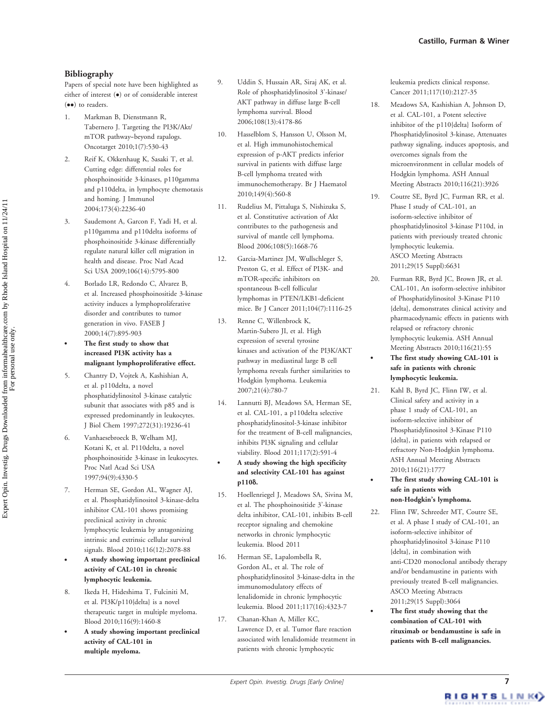# Bibliography

Papers of special note have been highlighted as either of interest ( $\bullet$ ) or of considerable interest  $(••)$  to readers.

- 1. Markman B, Dienstmann R, Tabernero J. Targeting the PI3K/Akt/ mTOR pathway-beyond rapalogs. Oncotarget 2010;1(7):530-43
- 2. Reif K, Okkenhaug K, Sasaki T, et al. Cutting edge: differential roles for phosphoinositide 3-kinases, p110gamma and p110delta, in lymphocyte chemotaxis and homing. J Immunol 2004;173(4):2236-40
- 3. Saudemont A, Garcon F, Yadi H, et al. p110gamma and p110delta isoforms of phosphoinositide 3-kinase differentially regulate natural killer cell migration in health and disease. Proc Natl Acad Sci USA 2009;106(14):5795-800
- 4. Borlado LR, Redondo C, Alvarez B, et al. Increased phosphoinositide 3-kinase activity induces a lymphoproliferative disorder and contributes to tumor generation in vivo. FASEB J 2000;14(7):895-903
- . The first study to show that increased PI3K activity has a malignant lymphoproliferative effect.
- 5. Chantry D, Vojtek A, Kashishian A, et al. p110delta, a novel phosphatidylinositol 3-kinase catalytic subunit that associates with p85 and is expressed predominantly in leukocytes. J Biol Chem 1997;272(31):19236-41
- 6. Vanhaesebroeck B, Welham MJ, Kotani K, et al. P110delta, a novel phosphoinositide 3-kinase in leukocytes. Proc Natl Acad Sci USA 1997;94(9):4330-5
- 7. Herman SE, Gordon AL, Wagner AJ, et al. Phosphatidylinositol 3-kinase-delta inhibitor CAL-101 shows promising preclinical activity in chronic lymphocytic leukemia by antagonizing intrinsic and extrinsic cellular survival signals. Blood 2010;116(12):2078-88
- . A study showing important preclinical activity of CAL-101 in chronic lymphocytic leukemia.
- 8. Ikeda H, Hideshima T, Fulciniti M, et al. PI3K/p110{delta} is a novel therapeutic target in multiple myeloma. Blood 2010;116(9):1460-8
- . A study showing important preclinical activity of CAL-101 in multiple myeloma.
- 9. Uddin S, Hussain AR, Siraj AK, et al. Role of phosphatidylinositol 3'-kinase/ AKT pathway in diffuse large B-cell lymphoma survival. Blood 2006;108(13):4178-86
- 10. Hasselblom S, Hansson U, Olsson M, et al. High immunohistochemical expression of p-AKT predicts inferior survival in patients with diffuse large B-cell lymphoma treated with immunochemotherapy. Br J Haematol 2010;149(4):560-8
- 11. Rudelius M, Pittaluga S, Nishizuka S, et al. Constitutive activation of Akt contributes to the pathogenesis and survival of mantle cell lymphoma. Blood 2006;108(5):1668-76
- 12. Garcia-Martinez JM, Wullschleger S, Preston G, et al. Effect of PI3K- and mTOR-specific inhibitors on spontaneous B-cell follicular lymphomas in PTEN/LKB1-deficient mice. Br J Cancer 2011;104(7):1116-25
- 13. Renne C, Willenbrock K, Martin-Subero JI, et al. High expression of several tyrosine kinases and activation of the PI3K/AKT pathway in mediastinal large B cell lymphoma reveals further similarities to Hodgkin lymphoma. Leukemia 2007;21(4):780-7
- 14. Lannutti BJ, Meadows SA, Herman SE, et al. CAL-101, a p110delta selective phosphatidylinositol-3-kinase inhibitor for the treatment of B-cell malignancies, inhibits PI3K signaling and cellular viability. Blood 2011;117(2):591-4
	- . A study showing the high specificity and selectivity CAL-101 has against p110δ.
- 15. Hoellenriegel J, Meadows SA, Sivina M, et al. The phosphoinositide 3'-kinase delta inhibitor, CAL-101, inhibits B-cell receptor signaling and chemokine networks in chronic lymphocytic leukemia. Blood 2011
- 16. Herman SE, Lapalombella R, Gordon AL, et al. The role of phosphatidylinositol 3-kinase-delta in the immunomodulatory effects of lenalidomide in chronic lymphocytic leukemia. Blood 2011;117(16):4323-7
- 17. Chanan-Khan A, Miller KC, Lawrence D, et al. Tumor flare reaction associated with lenalidomide treatment in patients with chronic lymphocytic

leukemia predicts clinical response. Cancer 2011;117(10):2127-35

- 18. Meadows SA, Kashishian A, Johnson D, et al. CAL-101, a Potent selective inhibitor of the p110{delta} Isoform of Phosphatidylinositol 3-kinase, Attenuates pathway signaling, induces apoptosis, and overcomes signals from the microenvironment in cellular models of Hodgkin lymphoma. ASH Annual Meeting Abstracts 2010;116(21):3926
- 19. Coutre SE, Byrd JC, Furman RR, et al. Phase I study of CAL-101, an isoform-selective inhibitor of phosphatidylinositol 3-kinase P110d, in patients with previously treated chronic lymphocytic leukemia. ASCO Meeting Abstracts 2011;29(15 Suppl):6631
- 20. Furman RR, Byrd JC, Brown JR, et al. CAL-101, An isoform-selective inhibitor of Phosphatidylinositol 3-Kinase P110 {delta}, demonstrates clinical activity and pharmacodynamic effects in patients with relapsed or refractory chronic lymphocytic leukemia. ASH Annual Meeting Abstracts 2010;116(21):55
- . The first study showing CAL-101 is safe in patients with chronic lymphocytic leukemia.
- 21. Kahl B, Byrd JC, Flinn IW, et al. Clinical safety and activity in a phase 1 study of CAL-101, an isoform-selective inhibitor of Phosphatidylinositol 3-Kinase P110 {delta}, in patients with relapsed or refractory Non-Hodgkin lymphoma. ASH Annual Meeting Abstracts 2010;116(21):1777
- . The first study showing CAL-101 is safe in patients with non-Hodgkin's lymphoma.
- 22. Flinn IW, Schreeder MT, Coutre SE, et al. A phase I study of CAL-101, an isoform-selective inhibitor of phosphatidylinositol 3-kinase P110 {delta}, in combination with anti-CD20 monoclonal antibody therapy and/or bendamustine in patients with previously treated B-cell malignancies. ASCO Meeting Abstracts 2011;29(15 Suppl):3064
	- . The first study showing that the combination of CAL-101 with rituximab or bendamustine is safe in patients with B-cell malignancies.

For personal use only.